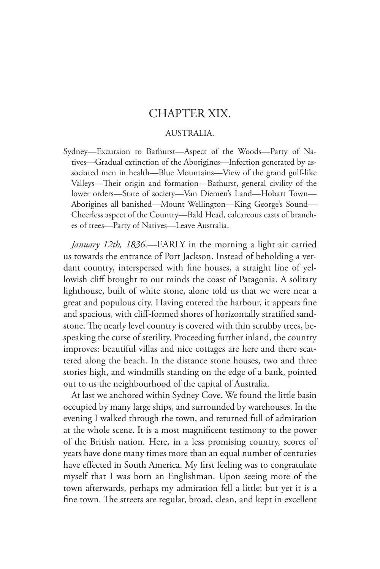## CHAPTER XIX.

## AUSTRALIA.

Sydney—Excursion to Bathurst—Aspect of the Woods—Party of Natives—Gradual extinction of the Aborigines—Infection generated by associated men in health—Blue Mountains—View of the grand gulf-like Valleys—Their origin and formation—Bathurst, general civility of the lower orders—State of society—Van Diemen's Land—Hobart Town— Aborigines all banished—Mount Wellington—King George's Sound— Cheerless aspect of the Country—Bald Head, calcareous casts of branches of trees—Party of Natives—Leave Australia.

*January 12th, 1836*.—EARLY in the morning a light air carried us towards the entrance of Port Jackson. Instead of beholding a verdant country, interspersed with fine houses, a straight line of yellowish cliff brought to our minds the coast of Patagonia. A solitary lighthouse, built of white stone, alone told us that we were near a great and populous city. Having entered the harbour, it appears fine and spacious, with cliff-formed shores of horizontally stratified sandstone. The nearly level country is covered with thin scrubby trees, bespeaking the curse of sterility. Proceeding further inland, the country improves: beautiful villas and nice cottages are here and there scattered along the beach. In the distance stone houses, two and three stories high, and windmills standing on the edge of a bank, pointed out to us the neighbourhood of the capital of Australia.

At last we anchored within Sydney Cove. We found the little basin occupied by many large ships, and surrounded by warehouses. In the evening I walked through the town, and returned full of admiration at the whole scene. It is a most magnificent testimony to the power of the British nation. Here, in a less promising country, scores of years have done many times more than an equal number of centuries have effected in South America. My first feeling was to congratulate myself that I was born an Englishman. Upon seeing more of the town afterwards, perhaps my admiration fell a little; but yet it is a fine town. The streets are regular, broad, clean, and kept in excellent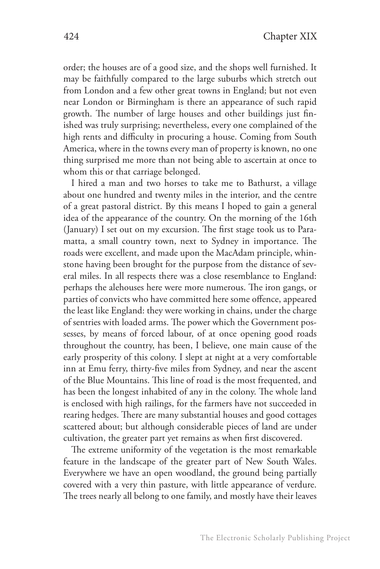order; the houses are of a good size, and the shops well furnished. It may be faithfully compared to the large suburbs which stretch out from London and a few other great towns in England; but not even near London or Birmingham is there an appearance of such rapid growth. The number of large houses and other buildings just finished was truly surprising; nevertheless, every one complained of the high rents and difficulty in procuring a house. Coming from South America, where in the towns every man of property is known, no one thing surprised me more than not being able to ascertain at once to whom this or that carriage belonged.

I hired a man and two horses to take me to Bathurst, a village about one hundred and twenty miles in the interior, and the centre of a great pastoral district. By this means I hoped to gain a general idea of the appearance of the country. On the morning of the 16th (January) I set out on my excursion. The first stage took us to Paramatta, a small country town, next to Sydney in importance. The roads were excellent, and made upon the MacAdam principle, whinstone having been brought for the purpose from the distance of several miles. In all respects there was a close resemblance to England: perhaps the alehouses here were more numerous. The iron gangs, or parties of convicts who have committed here some offence, appeared the least like England: they were working in chains, under the charge of sentries with loaded arms. The power which the Government possesses, by means of forced labour, of at once opening good roads throughout the country, has been, I believe, one main cause of the early prosperity of this colony. I slept at night at a very comfortable inn at Emu ferry, thirty-five miles from Sydney, and near the ascent of the Blue Mountains. This line of road is the most frequented, and has been the longest inhabited of any in the colony. The whole land is enclosed with high railings, for the farmers have not succeeded in rearing hedges. There are many substantial houses and good cottages scattered about; but although considerable pieces of land are under cultivation, the greater part yet remains as when first discovered.

The extreme uniformity of the vegetation is the most remarkable feature in the landscape of the greater part of New South Wales. Everywhere we have an open woodland, the ground being partially covered with a very thin pasture, with little appearance of verdure. The trees nearly all belong to one family, and mostly have their leaves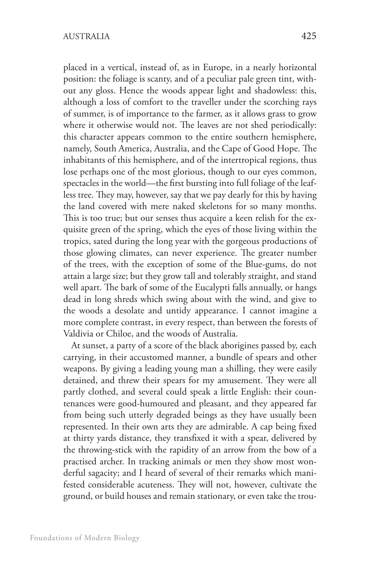placed in a vertical, instead of, as in Europe, in a nearly horizontal position: the foliage is scanty, and of a peculiar pale green tint, without any gloss. Hence the woods appear light and shadowless: this, although a loss of comfort to the traveller under the scorching rays of summer, is of importance to the farmer, as it allows grass to grow where it otherwise would not. The leaves are not shed periodically: this character appears common to the entire southern hemisphere, namely, South America, Australia, and the Cape of Good Hope. The inhabitants of this hemisphere, and of the intertropical regions, thus lose perhaps one of the most glorious, though to our eyes common, spectacles in the world—the first bursting into full foliage of the leafless tree. They may, however, say that we pay dearly for this by having the land covered with mere naked skeletons for so many months. This is too true; but our senses thus acquire a keen relish for the exquisite green of the spring, which the eyes of those living within the tropics, sated during the long year with the gorgeous productions of those glowing climates, can never experience. The greater number of the trees, with the exception of some of the Blue-gums, do not attain a large size; but they grow tall and tolerably straight, and stand well apart. The bark of some of the Eucalypti falls annually, or hangs dead in long shreds which swing about with the wind, and give to the woods a desolate and untidy appearance. I cannot imagine a more complete contrast, in every respect, than between the forests of Valdivia or Chiloe, and the woods of Australia.

At sunset, a party of a score of the black aborigines passed by, each carrying, in their accustomed manner, a bundle of spears and other weapons. By giving a leading young man a shilling, they were easily detained, and threw their spears for my amusement. They were all partly clothed, and several could speak a little English: their countenances were good-humoured and pleasant, and they appeared far from being such utterly degraded beings as they have usually been represented. In their own arts they are admirable. A cap being fixed at thirty yards distance, they transfixed it with a spear, delivered by the throwing-stick with the rapidity of an arrow from the bow of a practised archer. In tracking animals or men they show most wonderful sagacity; and I heard of several of their remarks which manifested considerable acuteness. They will not, however, cultivate the ground, or build houses and remain stationary, or even take the trou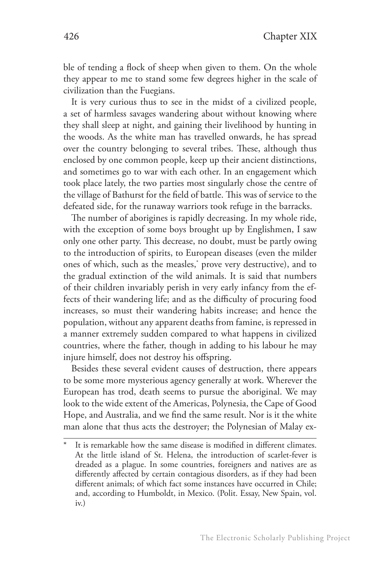ble of tending a flock of sheep when given to them. On the whole they appear to me to stand some few degrees higher in the scale of civilization than the Fuegians.

It is very curious thus to see in the midst of a civilized people, a set of harmless savages wandering about without knowing where they shall sleep at night, and gaining their livelihood by hunting in the woods. As the white man has travelled onwards, he has spread over the country belonging to several tribes. These, although thus enclosed by one common people, keep up their ancient distinctions, and sometimes go to war with each other. In an engagement which took place lately, the two parties most singularly chose the centre of the village of Bathurst for the field of battle. This was of service to the defeated side, for the runaway warriors took refuge in the barracks.

The number of aborigines is rapidly decreasing. In my whole ride, with the exception of some boys brought up by Englishmen, I saw only one other party. This decrease, no doubt, must be partly owing to the introduction of spirits, to European diseases (even the milder ones of which, such as the measles,\* prove very destructive), and to the gradual extinction of the wild animals. It is said that numbers of their children invariably perish in very early infancy from the effects of their wandering life; and as the difficulty of procuring food increases, so must their wandering habits increase; and hence the population, without any apparent deaths from famine, is repressed in a manner extremely sudden compared to what happens in civilized countries, where the father, though in adding to his labour he may injure himself, does not destroy his offspring.

Besides these several evident causes of destruction, there appears to be some more mysterious agency generally at work. Wherever the European has trod, death seems to pursue the aboriginal. We may look to the wide extent of the Americas, Polynesia, the Cape of Good Hope, and Australia, and we find the same result. Nor is it the white man alone that thus acts the destroyer; the Polynesian of Malay ex-

It is remarkable how the same disease is modified in different climates. At the little island of St. Helena, the introduction of scarlet-fever is dreaded as a plague. In some countries, foreigners and natives are as differently affected by certain contagious disorders, as if they had been different animals; of which fact some instances have occurred in Chile; and, according to Humboldt, in Mexico. (Polit. Essay, New Spain, vol. iv.)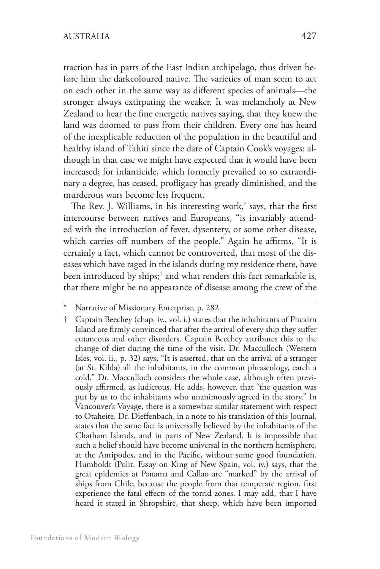traction has in parts of the East Indian archipelago, thus driven before him the darkcoloured native. The varieties of man seem to act on each other in the same way as different species of animals—the stronger always extirpating the weaker. It was melancholy at New Zealand to hear the fine energetic natives saying, that they knew the land was doomed to pass from their children. Every one has heard of the inexplicable reduction of the population in the beautiful and healthy island of Tahiti since the date of Captain Cook's voyages: although in that case we might have expected that it would have been increased; for infanticide, which formerly prevailed to so extraordinary a degree, has ceased, profligacy has greatly diminished, and the murderous wars become less frequent.

The Rev. J. Williams, in his interesting work,\* says, that the first intercourse between natives and Europeans, "is invariably attended with the introduction of fever, dysentery, or some other disease, which carries off numbers of the people." Again he affirms, "It is certainly a fact, which cannot be controverted, that most of the diseases which have raged in the islands during my residence there, have been introduced by ships;† and what renders this fact remarkable is, that there might be no appearance of disease among the crew of the

Narrative of Missionary Enterprise, p. 282.

<sup>†</sup> Captain Beechey (chap. iv., vol. i.) states that the inhabitants of Pitcairn Island are firmly convinced that after the arrival of every ship they suffer cutaneous and other disorders. Captain Beechey attributes this to the change of diet during the time of the visit. Dr. Macculloch (Western Isles, vol. ii., p. 32) says, "It is asserted, that on the arrival of a stranger (at St. Kilda) all the inhabitants, in the common phraseology, catch a cold." Dr. Macculloch considers the whole case, although often previously affirmed, as ludicrous. He adds, however, that "the question was put by us to the inhabitants who unanimously agreed in the story." In Vancouver's Voyage, there is a somewhat similar statement with respect to Otaheite. Dr. Dieffenbach, in a note to his translation of this Journal, states that the same fact is universally believed by the inhabitants of the Chatham Islands, and in parts of New Zealand. It is impossible that such a belief should have become universal in the northern hemisphere, at the Antipodes, and in the Pacific, without some good foundation. Humboldt (Polit. Essay on King of New Spain, vol. iv.) says, that the great epidemics at Panama and Callao are "marked" by the arrival of ships from Chile, because the people from that temperate region, first experience the fatal effects of the torrid zones. I may add, that I have heard it stated in Shropshire, that sheep, which have been imported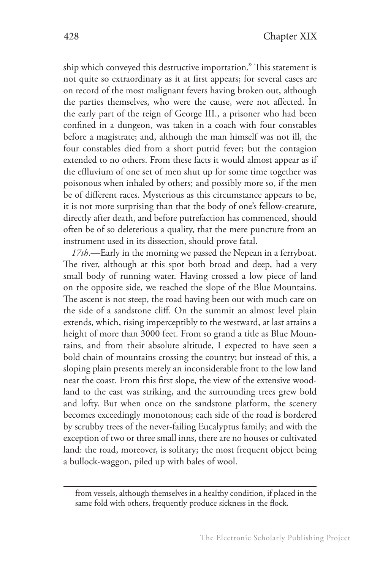ship which conveyed this destructive importation." This statement is not quite so extraordinary as it at first appears; for several cases are on record of the most malignant fevers having broken out, although the parties themselves, who were the cause, were not affected. In the early part of the reign of George III., a prisoner who had been confined in a dungeon, was taken in a coach with four constables before a magistrate; and, although the man himself was not ill, the four constables died from a short putrid fever; but the contagion extended to no others. From these facts it would almost appear as if the effluvium of one set of men shut up for some time together was poisonous when inhaled by others; and possibly more so, if the men be of different races. Mysterious as this circumstance appears to be, it is not more surprising than that the body of one's fellow-creature, directly after death, and before putrefaction has commenced, should often be of so deleterious a quality, that the mere puncture from an instrument used in its dissection, should prove fatal.

*17th*.—Early in the morning we passed the Nepean in a ferryboat. The river, although at this spot both broad and deep, had a very small body of running water. Having crossed a low piece of land on the opposite side, we reached the slope of the Blue Mountains. The ascent is not steep, the road having been out with much care on the side of a sandstone cliff. On the summit an almost level plain extends, which, rising imperceptibly to the westward, at last attains a height of more than 3000 feet. From so grand a title as Blue Mountains, and from their absolute altitude, I expected to have seen a bold chain of mountains crossing the country; but instead of this, a sloping plain presents merely an inconsiderable front to the low land near the coast. From this first slope, the view of the extensive woodland to the east was striking, and the surrounding trees grew bold and lofty. But when once on the sandstone platform, the scenery becomes exceedingly monotonous; each side of the road is bordered by scrubby trees of the never-failing Eucalyptus family; and with the exception of two or three small inns, there are no houses or cultivated land: the road, moreover, is solitary; the most frequent object being a bullock-waggon, piled up with bales of wool.

from vessels, although themselves in a healthy condition, if placed in the same fold with others, frequently produce sickness in the flock.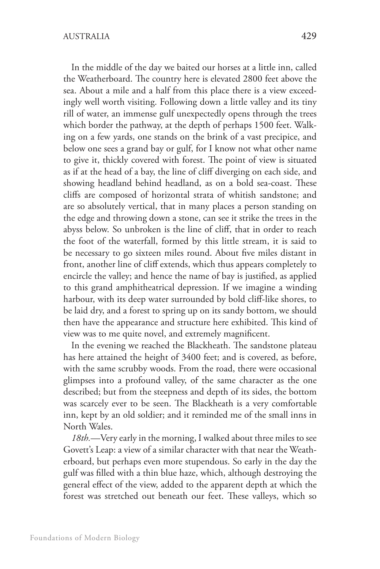In the middle of the day we baited our horses at a little inn, called the Weatherboard. The country here is elevated 2800 feet above the sea. About a mile and a half from this place there is a view exceedingly well worth visiting. Following down a little valley and its tiny rill of water, an immense gulf unexpectedly opens through the trees which border the pathway, at the depth of perhaps 1500 feet. Walking on a few yards, one stands on the brink of a vast precipice, and below one sees a grand bay or gulf, for I know not what other name to give it, thickly covered with forest. The point of view is situated as if at the head of a bay, the line of cliff diverging on each side, and showing headland behind headland, as on a bold sea-coast. These cliffs are composed of horizontal strata of whitish sandstone; and are so absolutely vertical, that in many places a person standing on the edge and throwing down a stone, can see it strike the trees in the abyss below. So unbroken is the line of cliff, that in order to reach the foot of the waterfall, formed by this little stream, it is said to be necessary to go sixteen miles round. About five miles distant in front, another line of cliff extends, which thus appears completely to encircle the valley; and hence the name of bay is justified, as applied to this grand amphitheatrical depression. If we imagine a winding harbour, with its deep water surrounded by bold cliff-like shores, to be laid dry, and a forest to spring up on its sandy bottom, we should then have the appearance and structure here exhibited. This kind of view was to me quite novel, and extremely magnificent.

In the evening we reached the Blackheath. The sandstone plateau has here attained the height of 3400 feet; and is covered, as before, with the same scrubby woods. From the road, there were occasional glimpses into a profound valley, of the same character as the one described; but from the steepness and depth of its sides, the bottom was scarcely ever to be seen. The Blackheath is a very comfortable inn, kept by an old soldier; and it reminded me of the small inns in North Wales.

*18th.*—Very early in the morning, I walked about three miles to see Govett's Leap: a view of a similar character with that near the Weatherboard, but perhaps even more stupendous. So early in the day the gulf was filled with a thin blue haze, which, although destroying the general effect of the view, added to the apparent depth at which the forest was stretched out beneath our feet. These valleys, which so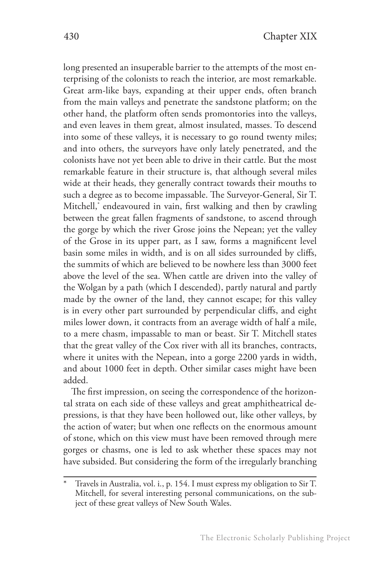long presented an insuperable barrier to the attempts of the most enterprising of the colonists to reach the interior, are most remarkable. Great arm-like bays, expanding at their upper ends, often branch from the main valleys and penetrate the sandstone platform; on the other hand, the platform often sends promontories into the valleys, and even leaves in them great, almost insulated, masses. To descend into some of these valleys, it is necessary to go round twenty miles; and into others, the surveyors have only lately penetrated, and the colonists have not yet been able to drive in their cattle. But the most remarkable feature in their structure is, that although several miles wide at their heads, they generally contract towards their mouths to such a degree as to become impassable. The Surveyor-General, Sir T. Mitchell,\* endeavoured in vain, first walking and then by crawling between the great fallen fragments of sandstone, to ascend through the gorge by which the river Grose joins the Nepean; yet the valley of the Grose in its upper part, as I saw, forms a magnificent level basin some miles in width, and is on all sides surrounded by cliffs, the summits of which are believed to be nowhere less than 3000 feet above the level of the sea. When cattle are driven into the valley of the Wolgan by a path (which I descended), partly natural and partly made by the owner of the land, they cannot escape; for this valley is in every other part surrounded by perpendicular cliffs, and eight miles lower down, it contracts from an average width of half a mile, to a mere chasm, impassable to man or beast. Sir T. Mitchell states that the great valley of the Cox river with all its branches, contracts, where it unites with the Nepean, into a gorge 2200 yards in width, and about 1000 feet in depth. Other similar cases might have been added.

The first impression, on seeing the correspondence of the horizontal strata on each side of these valleys and great amphitheatrical depressions, is that they have been hollowed out, like other valleys, by the action of water; but when one reflects on the enormous amount of stone, which on this view must have been removed through mere gorges or chasms, one is led to ask whether these spaces may not have subsided. But considering the form of the irregularly branching

Travels in Australia, vol. i., p. 154. I must express my obligation to Sir T. Mitchell, for several interesting personal communications, on the subject of these great valleys of New South Wales.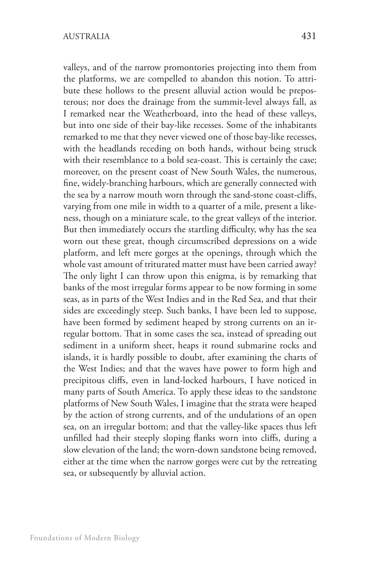valleys, and of the narrow promontories projecting into them from the platforms, we are compelled to abandon this notion. To attribute these hollows to the present alluvial action would be preposterous; nor does the drainage from the summit-level always fall, as I remarked near the Weatherboard, into the head of these valleys, but into one side of their bay-like recesses. Some of the inhabitants remarked to me that they never viewed one of those bay-like recesses, with the headlands receding on both hands, without being struck with their resemblance to a bold sea-coast. This is certainly the case; moreover, on the present coast of New South Wales, the numerous, fine, widely-branching harbours, which are generally connected with the sea by a narrow mouth worn through the sand-stone coast-cliffs, varying from one mile in width to a quarter of a mile, present a likeness, though on a miniature scale, to the great valleys of the interior. But then immediately occurs the startling difficulty, why has the sea worn out these great, though circumscribed depressions on a wide platform, and left mere gorges at the openings, through which the whole vast amount of triturated matter must have been carried away? The only light I can throw upon this enigma, is by remarking that banks of the most irregular forms appear to be now forming in some seas, as in parts of the West Indies and in the Red Sea, and that their sides are exceedingly steep. Such banks, I have been led to suppose, have been formed by sediment heaped by strong currents on an irregular bottom. That in some cases the sea, instead of spreading out sediment in a uniform sheet, heaps it round submarine rocks and islands, it is hardly possible to doubt, after examining the charts of the West Indies; and that the waves have power to form high and precipitous cliffs, even in land-locked harbours, I have noticed in many parts of South America. To apply these ideas to the sandstone platforms of New South Wales, I imagine that the strata were heaped by the action of strong currents, and of the undulations of an open sea, on an irregular bottom; and that the valley-like spaces thus left unfilled had their steeply sloping flanks worn into cliffs, during a slow elevation of the land; the worn-down sandstone being removed, either at the time when the narrow gorges were cut by the retreating sea, or subsequently by alluvial action.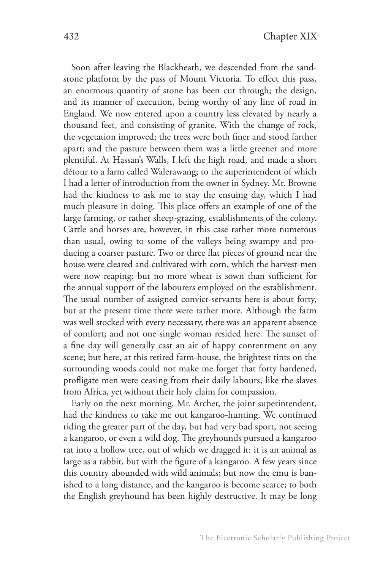Soon after leaving the Blackheath, we descended from the sandstone platform by the pass of Mount Victoria. To effect this pass, an enormous quantity of stone has been cut through; the design, and its manner of execution, being worthy of any line of road in England. We now entered upon a country less elevated by nearly a thousand feet, and consisting of granite. With the change of rock, the vegetation improved; the trees were both finer and stood farther apart; and the pasture between them was a little greener and more plentiful. At Hassan's Walls, I left the high road, and made a short détour to a farm called Walerawang; to the superintendent of which I had a letter of introduction from the owner in Sydney. Mr. Browne had the kindness to ask me to stay the ensuing day, which I had much pleasure in doing. This place offers an example of one of the large farming, or rather sheep-grazing, establishments of the colony. Cattle and horses are, however, in this case rather more numerous than usual, owing to some of the valleys being swampy and producing a coarser pasture. Two or three flat pieces of ground near the house were cleared and cultivated with corn, which the harvest-men were now reaping: but no more wheat is sown than sufficient for the annual support of the labourers employed on the establishment. The usual number of assigned convict-servants here is about forty, but at the present time there were rather more. Although the farm was well stocked with every necessary, there was an apparent absence of comfort; and not one single woman resided here. The sunset of a fine day will generally cast an air of happy contentment on any scene; but here, at this retired farm-house, the brightest tints on the surrounding woods could not make me forget that forty hardened, profligate men were ceasing from their daily labours, like the slaves from Africa, yet without their holy claim for compassion.

Early on the next morning, Mr. Archer, the joint superintendent, had the kindness to take me out kangaroo-hunting. We continued riding the greater part of the day, but had very bad sport, not seeing a kangaroo, or even a wild dog. The greyhounds pursued a kangaroo rat into a hollow tree, out of which we dragged it: it is an animal as large as a rabbit, but with the figure of a kangaroo. A few years since this country abounded with wild animals; but now the emu is banished to a long distance, and the kangaroo is become scarce; to both the English greyhound has been highly destructive. It may be long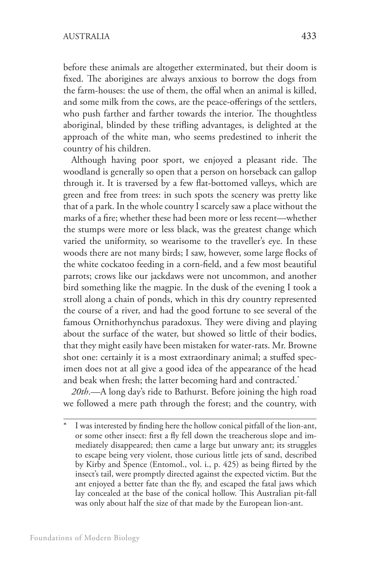before these animals are altogether exterminated, but their doom is fixed. The aborigines are always anxious to borrow the dogs from the farm-houses: the use of them, the offal when an animal is killed, and some milk from the cows, are the peace-offerings of the settlers, who push farther and farther towards the interior. The thoughtless aboriginal, blinded by these trifling advantages, is delighted at the approach of the white man, who seems predestined to inherit the country of his children.

Although having poor sport, we enjoyed a pleasant ride. The woodland is generally so open that a person on horseback can gallop through it. It is traversed by a few flat-bottomed valleys, which are green and free from trees: in such spots the scenery was pretty like that of a park. In the whole country I scarcely saw a place without the marks of a fire; whether these had been more or less recent—whether the stumps were more or less black, was the greatest change which varied the uniformity, so wearisome to the traveller's eye. In these woods there are not many birds; I saw, however, some large flocks of the white cockatoo feeding in a corn-field, and a few most beautiful parrots; crows like our jackdaws were not uncommon, and another bird something like the magpie. In the dusk of the evening I took a stroll along a chain of ponds, which in this dry country represented the course of a river, and had the good fortune to see several of the famous Ornithorhynchus paradoxus. They were diving and playing about the surface of the water, but showed so little of their bodies, that they might easily have been mistaken for water-rats. Mr. Browne shot one: certainly it is a most extraordinary animal; a stuffed specimen does not at all give a good idea of the appearance of the head and beak when fresh; the latter becoming hard and contracted.\*

*20th*.—A long day's ride to Bathurst. Before joining the high road we followed a mere path through the forest; and the country, with

I was interested by finding here the hollow conical pitfall of the lion-ant, or some other insect: first a fly fell down the treacherous slope and immediately disappeared; then came a large but unwary ant; its struggles to escape being very violent, those curious little jets of sand, described by Kirby and Spence (Entomol., vol. i., p. 425) as being flirted by the insect's tail, were promptly directed against the expected victim. But the ant enjoyed a better fate than the fly, and escaped the fatal jaws which lay concealed at the base of the conical hollow. This Australian pit-fall was only about half the size of that made by the European lion-ant.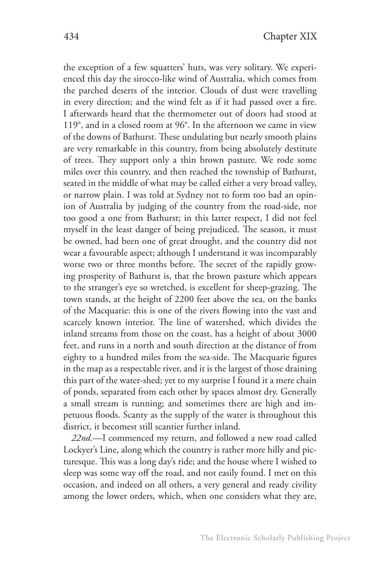the exception of a few squatters' huts, was very solitary. We experienced this day the sirocco-like wind of Australia, which comes from the parched deserts of the interior. Clouds of dust were travelling in every direction; and the wind felt as if it had passed over a fire. I afterwards heard that the thermometer out of doors had stood at 119°, and in a closed room at 96°. In the afternoon we came in view of the downs of Bathurst. These undulating but nearly smooth plains are very remarkable in this country, from being absolutely destitute of trees. They support only a thin brown pasture. We rode some miles over this country, and then reached the township of Bathurst, seated in the middle of what may be called either a very broad valley, or narrow plain. I was told at Sydney not to form too bad an opinion of Australia by judging of the country from the road-side, nor too good a one from Bathurst; in this latter respect, I did not feel myself in the least danger of being prejudiced. The season, it must be owned, had been one of great drought, and the country did not wear a favourable aspect; although I understand it was incomparably worse two or three months before. The secret of the rapidly growing prosperity of Bathurst is, that the brown pasture which appears to the stranger's eye so wretched, is excellent for sheep-grazing. The town stands, at the height of 2200 feet above the sea, on the banks of the Macquarie: this is one of the rivers flowing into the vast and scarcely known interior. The line of watershed, which divides the inland streams from those on the coast, has a height of about 3000 feet, and runs in a north and south direction at the distance of from eighty to a hundred miles from the sea-side. The Macquarie figures in the map as a respectable river, and it is the largest of those draining this part of the water-shed; yet to my surprise I found it a mere chain of ponds, separated from each other by spaces almost dry. Generally a small stream is running; and sometimes there are high and impetuous floods. Scanty as the supply of the water is throughout this district, it becomest still scantier further inland.

*22nd*.—I commenced my return, and followed a new road called Lockyer's Line, along which the country is rather more hilly and picturesque. This was a long day's ride; and the house where I wished to sleep was some way off the road, and not easily found. I met on this occasion, and indeed on all others, a very general and ready civility among the lower orders, which, when one considers what they are,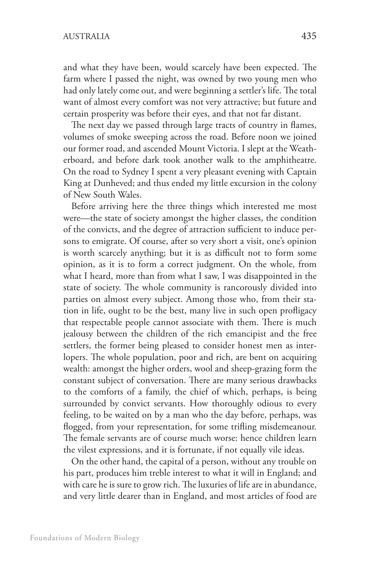and what they have been, would scarcely have been expected. The farm where I passed the night, was owned by two young men who had only lately come out, and were beginning a settler's life. The total want of almost every comfort was not very attractive; but future and certain prosperity was before their eyes, and that not far distant.

The next day we passed through large tracts of country in flames, volumes of smoke sweeping across the road. Before noon we joined our former road, and ascended Mount Victoria. I slept at the Weatherboard, and before dark took another walk to the amphitheatre. On the road to Sydney I spent a very pleasant evening with Captain King at Dunheved; and thus ended my little excursion in the colony of New South Wales.

Before arriving here the three things which interested me most were—the state of society amongst the higher classes, the condition of the convicts, and the degree of attraction sufficient to induce persons to emigrate. Of course, after so very short a visit, one's opinion is worth scarcely anything; but it is as difficult not to form some opinion, as it is to form a correct judgment. On the whole, from what I heard, more than from what I saw, I was disappointed in the state of society. The whole community is rancorously divided into parties on almost every subject. Among those who, from their station in life, ought to be the best, many live in such open profligacy that respectable people cannot associate with them. There is much jealousy between the children of the rich emancipist and the free settlers, the former being pleased to consider honest men as interlopers. The whole population, poor and rich, are bent on acquiring wealth: amongst the higher orders, wool and sheep-grazing form the constant subject of conversation. There are many serious drawbacks to the comforts of a family, the chief of which, perhaps, is being surrounded by convict servants. How thoroughly odious to every feeling, to be waited on by a man who the day before, perhaps, was flogged, from your representation, for some trifling misdemeanour. The female servants are of course much worse: hence children learn the vilest expressions, and it is fortunate, if not equally vile ideas.

On the other hand, the capital of a person, without any trouble on his part, produces him treble interest to what it will in England; and with care he is sure to grow rich. The luxuries of life are in abundance, and very little dearer than in England, and most articles of food are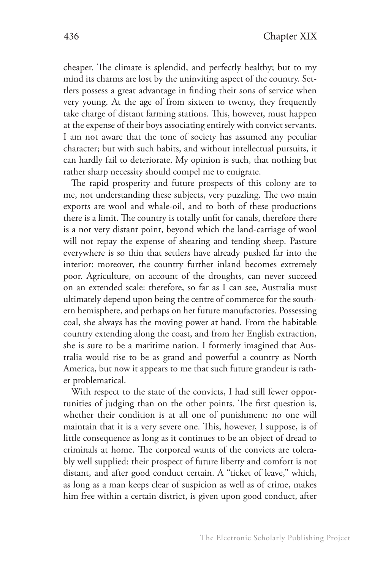cheaper. The climate is splendid, and perfectly healthy; but to my mind its charms are lost by the uninviting aspect of the country. Settlers possess a great advantage in finding their sons of service when very young. At the age of from sixteen to twenty, they frequently take charge of distant farming stations. This, however, must happen at the expense of their boys associating entirely with convict servants. I am not aware that the tone of society has assumed any peculiar character; but with such habits, and without intellectual pursuits, it can hardly fail to deteriorate. My opinion is such, that nothing but rather sharp necessity should compel me to emigrate.

The rapid prosperity and future prospects of this colony are to me, not understanding these subjects, very puzzling. The two main exports are wool and whale-oil, and to both of these productions there is a limit. The country is totally unfit for canals, therefore there is a not very distant point, beyond which the land-carriage of wool will not repay the expense of shearing and tending sheep. Pasture everywhere is so thin that settlers have already pushed far into the interior: moreover, the country further inland becomes extremely poor. Agriculture, on account of the droughts, can never succeed on an extended scale: therefore, so far as I can see, Australia must ultimately depend upon being the centre of commerce for the southern hemisphere, and perhaps on her future manufactories. Possessing coal, she always has the moving power at hand. From the habitable country extending along the coast, and from her English extraction, she is sure to be a maritime nation. I formerly imagined that Australia would rise to be as grand and powerful a country as North America, but now it appears to me that such future grandeur is rather problematical.

With respect to the state of the convicts, I had still fewer opportunities of judging than on the other points. The first question is, whether their condition is at all one of punishment: no one will maintain that it is a very severe one. This, however, I suppose, is of little consequence as long as it continues to be an object of dread to criminals at home. The corporeal wants of the convicts are tolerably well supplied: their prospect of future liberty and comfort is not distant, and after good conduct certain. A "ticket of leave," which, as long as a man keeps clear of suspicion as well as of crime, makes him free within a certain district, is given upon good conduct, after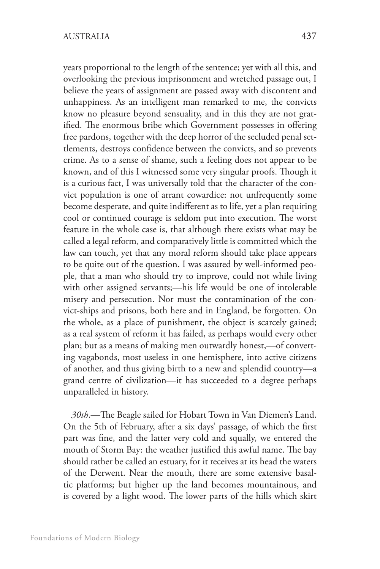years proportional to the length of the sentence; yet with all this, and overlooking the previous imprisonment and wretched passage out, I believe the years of assignment are passed away with discontent and unhappiness. As an intelligent man remarked to me, the convicts know no pleasure beyond sensuality, and in this they are not gratified. The enormous bribe which Government possesses in offering free pardons, together with the deep horror of the secluded penal settlements, destroys confidence between the convicts, and so prevents crime. As to a sense of shame, such a feeling does not appear to be known, and of this I witnessed some very singular proofs. Though it is a curious fact, I was universally told that the character of the convict population is one of arrant cowardice: not unfrequently some become desperate, and quite indifferent as to life, yet a plan requiring cool or continued courage is seldom put into execution. The worst feature in the whole case is, that although there exists what may be called a legal reform, and comparatively little is committed which the law can touch, yet that any moral reform should take place appears to be quite out of the question. I was assured by well-informed people, that a man who should try to improve, could not while living with other assigned servants;—his life would be one of intolerable misery and persecution. Nor must the contamination of the convict-ships and prisons, both here and in England, be forgotten. On the whole, as a place of punishment, the object is scarcely gained; as a real system of reform it has failed, as perhaps would every other plan; but as a means of making men outwardly honest,—of converting vagabonds, most useless in one hemisphere, into active citizens of another, and thus giving birth to a new and splendid country—a grand centre of civilization—it has succeeded to a degree perhaps unparalleled in history.

*30th*.—The Beagle sailed for Hobart Town in Van Diemen's Land. On the 5th of February, after a six days' passage, of which the first part was fine, and the latter very cold and squally, we entered the mouth of Storm Bay: the weather justified this awful name. The bay should rather be called an estuary, for it receives at its head the waters of the Derwent. Near the mouth, there are some extensive basaltic platforms; but higher up the land becomes mountainous, and is covered by a light wood. The lower parts of the hills which skirt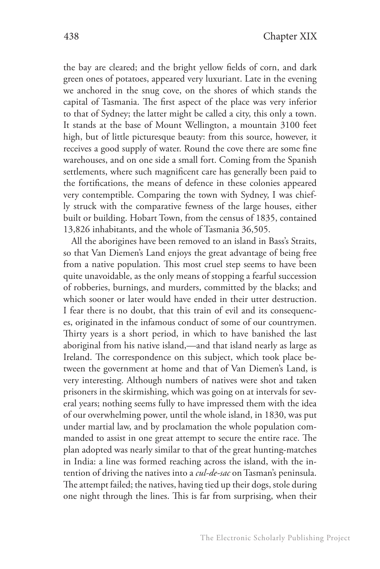the bay are cleared; and the bright yellow fields of corn, and dark green ones of potatoes, appeared very luxuriant. Late in the evening we anchored in the snug cove, on the shores of which stands the capital of Tasmania. The first aspect of the place was very inferior to that of Sydney; the latter might be called a city, this only a town. It stands at the base of Mount Wellington, a mountain 3100 feet high, but of little picturesque beauty: from this source, however, it receives a good supply of water. Round the cove there are some fine warehouses, and on one side a small fort. Coming from the Spanish settlements, where such magnificent care has generally been paid to the fortifications, the means of defence in these colonies appeared very contemptible. Comparing the town with Sydney, I was chiefly struck with the comparative fewness of the large houses, either built or building. Hobart Town, from the census of 1835, contained 13,826 inhabitants, and the whole of Tasmania 36,505.

All the aborigines have been removed to an island in Bass's Straits, so that Van Diemen's Land enjoys the great advantage of being free from a native population. This most cruel step seems to have been quite unavoidable, as the only means of stopping a fearful succession of robberies, burnings, and murders, committed by the blacks; and which sooner or later would have ended in their utter destruction. I fear there is no doubt, that this train of evil and its consequences, originated in the infamous conduct of some of our countrymen. Thirty years is a short period, in which to have banished the last aboriginal from his native island,—and that island nearly as large as Ireland. The correspondence on this subject, which took place between the government at home and that of Van Diemen's Land, is very interesting. Although numbers of natives were shot and taken prisoners in the skirmishing, which was going on at intervals for several years; nothing seems fully to have impressed them with the idea of our overwhelming power, until the whole island, in 1830, was put under martial law, and by proclamation the whole population commanded to assist in one great attempt to secure the entire race. The plan adopted was nearly similar to that of the great hunting-matches in India: a line was formed reaching across the island, with the intention of driving the natives into a *cul-de-sac* on Tasman's peninsula. The attempt failed; the natives, having tied up their dogs, stole during one night through the lines. This is far from surprising, when their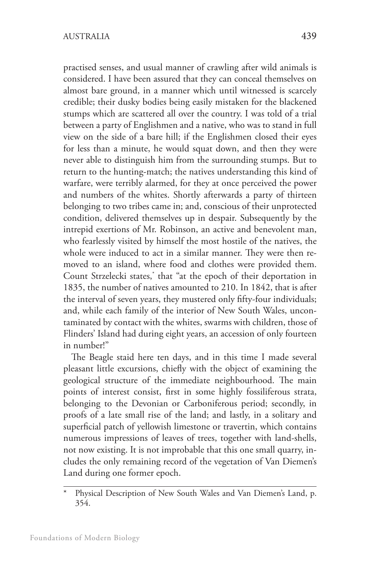practised senses, and usual manner of crawling after wild animals is considered. I have been assured that they can conceal themselves on almost bare ground, in a manner which until witnessed is scarcely credible; their dusky bodies being easily mistaken for the blackened stumps which are scattered all over the country. I was told of a trial between a party of Englishmen and a native, who was to stand in full view on the side of a bare hill; if the Englishmen closed their eyes for less than a minute, he would squat down, and then they were never able to distinguish him from the surrounding stumps. But to return to the hunting-match; the natives understanding this kind of warfare, were terribly alarmed, for they at once perceived the power and numbers of the whites. Shortly afterwards a party of thirteen belonging to two tribes came in; and, conscious of their unprotected condition, delivered themselves up in despair. Subsequently by the intrepid exertions of Mr. Robinson, an active and benevolent man, who fearlessly visited by himself the most hostile of the natives, the whole were induced to act in a similar manner. They were then removed to an island, where food and clothes were provided them. Count Strzelecki states,\* that "at the epoch of their deportation in 1835, the number of natives amounted to 210. In 1842, that is after the interval of seven years, they mustered only fifty-four individuals; and, while each family of the interior of New South Wales, uncontaminated by contact with the whites, swarms with children, those of Flinders' Island had during eight years, an accession of only fourteen in number!"

The Beagle staid here ten days, and in this time I made several pleasant little excursions, chiefly with the object of examining the geological structure of the immediate neighbourhood. The main points of interest consist, first in some highly fossiliferous strata, belonging to the Devonian or Carboniferous period; secondly, in proofs of a late small rise of the land; and lastly, in a solitary and superficial patch of yellowish limestone or travertin, which contains numerous impressions of leaves of trees, together with land-shells, not now existing. It is not improbable that this one small quarry, includes the only remaining record of the vegetation of Van Diemen's Land during one former epoch.

Physical Description of New South Wales and Van Diemen's Land, p. 354.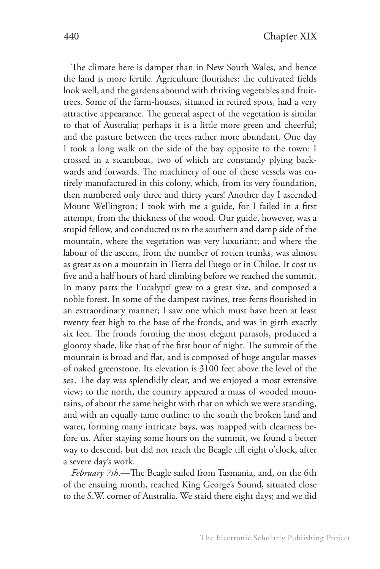The climate here is damper than in New South Wales, and hence the land is more fertile. Agriculture flourishes: the cultivated fields look well, and the gardens abound with thriving vegetables and fruittrees. Some of the farm-houses, situated in retired spots, had a very attractive appearance. The general aspect of the vegetation is similar to that of Australia; perhaps it is a little more green and cheerful; and the pasture between the trees rather more abundant. One day I took a long walk on the side of the bay opposite to the town: I crossed in a steamboat, two of which are constantly plying backwards and forwards. The machinery of one of these vessels was entirely manufactured in this colony, which, from its very foundation, then numbered only three and thirty years! Another day I ascended Mount Wellington; I took with me a guide, for I failed in a first attempt, from the thickness of the wood. Our guide, however, was a stupid fellow, and conducted us to the southern and damp side of the mountain, where the vegetation was very luxuriant; and where the labour of the ascent, from the number of rotten trunks, was almost as great as on a mountain in Tierra del Fuego or in Chiloe. It cost us five and a half hours of hard climbing before we reached the summit. In many parts the Eucalypti grew to a great size, and composed a noble forest. In some of the dampest ravines, tree-ferns flourished in an extraordinary manner; I saw one which must have been at least twenty feet high to the base of the fronds, and was in girth exactly six feet. The fronds forming the most elegant parasols, produced a gloomy shade, like that of the first hour of night. The summit of the mountain is broad and flat, and is composed of huge angular masses of naked greenstone. Its elevation is 3100 feet above the level of the sea. The day was splendidly clear, and we enjoyed a most extensive view; to the north, the country appeared a mass of wooded mountains, of about the same height with that on which we were standing, and with an equally tame outline: to the south the broken land and water, forming many intricate bays, was mapped with clearness before us. After staying some hours on the summit, we found a better way to descend, but did not reach the Beagle till eight o'clock, after a severe day's work.

*February 7th*.—The Beagle sailed from Tasmania, and, on the 6th of the ensuing month, reached King George's Sound, situated close to the S.W. corner of Australia. We staid there eight days; and we did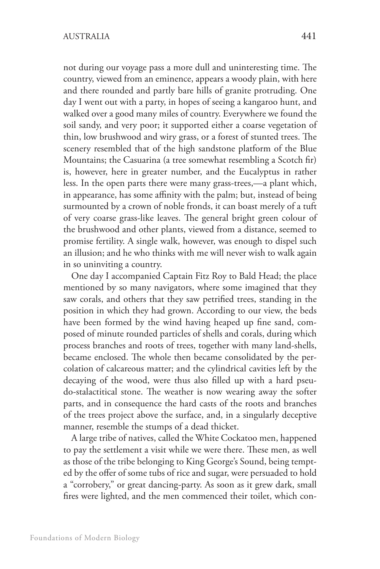not during our voyage pass a more dull and uninteresting time. The country, viewed from an eminence, appears a woody plain, with here and there rounded and partly bare hills of granite protruding. One day I went out with a party, in hopes of seeing a kangaroo hunt, and walked over a good many miles of country. Everywhere we found the soil sandy, and very poor; it supported either a coarse vegetation of thin, low brushwood and wiry grass, or a forest of stunted trees. The scenery resembled that of the high sandstone platform of the Blue Mountains; the Casuarina (a tree somewhat resembling a Scotch fir) is, however, here in greater number, and the Eucalyptus in rather less. In the open parts there were many grass-trees,—a plant which, in appearance, has some affinity with the palm; but, instead of being surmounted by a crown of noble fronds, it can boast merely of a tuft of very coarse grass-like leaves. The general bright green colour of the brushwood and other plants, viewed from a distance, seemed to promise fertility. A single walk, however, was enough to dispel such an illusion; and he who thinks with me will never wish to walk again in so uninviting a country.

One day I accompanied Captain Fitz Roy to Bald Head; the place mentioned by so many navigators, where some imagined that they saw corals, and others that they saw petrified trees, standing in the position in which they had grown. According to our view, the beds have been formed by the wind having heaped up fine sand, composed of minute rounded particles of shells and corals, during which process branches and roots of trees, together with many land-shells, became enclosed. The whole then became consolidated by the percolation of calcareous matter; and the cylindrical cavities left by the decaying of the wood, were thus also filled up with a hard pseudo-stalactitical stone. The weather is now wearing away the softer parts, and in consequence the hard casts of the roots and branches of the trees project above the surface, and, in a singularly deceptive manner, resemble the stumps of a dead thicket.

A large tribe of natives, called the White Cockatoo men, happened to pay the settlement a visit while we were there. These men, as well as those of the tribe belonging to King George's Sound, being tempted by the offer of some tubs of rice and sugar, were persuaded to hold a "corrobery," or great dancing-party. As soon as it grew dark, small fires were lighted, and the men commenced their toilet, which con